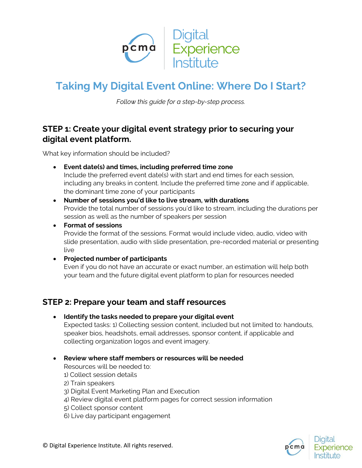

# **Taking My Digital Event Online: Where Do I Start?**

*Follow this guide for a step-by-step process.*

### **STEP 1: Create your digital event strategy prior to securing your digital event platform.**

What key information should be included?

- **Event date(s) and times, including preferred time zone** Include the preferred event date(s) with start and end times for each session, including any breaks in content. Include the preferred time zone and if applicable, the dominant time zone of your participants
- **Number of sessions you'd like to live stream, with durations** Provide the total number of sessions you'd like to stream, including the durations per session as well as the number of speakers per session
- **Format of sessions** Provide the format of the sessions. Format would include video, audio, video with slide presentation, audio with slide presentation, pre-recorded material or presenting live

#### **Projected number of participants**

Even if you do not have an accurate or exact number, an estimation will help both your team and the future digital event platform to plan for resources needed

### **STEP 2: Prepare your team and staff resources**

**Identify the tasks needed to prepare your digital event**

Expected tasks: 1) Collecting session content, included but not limited to: handouts, speaker bios, headshots, email addresses, sponsor content, if applicable and collecting organization logos and event imagery.

**Review where staff members or resources will be needed**

Resources will be needed to:

- 1) Collect session details
- 2) Train speakers
- 3) Digital Event Marketing Plan and Execution
- 4) Review digital event platform pages for correct session information
- 5) Collect sponsor content
- 6) Live day participant engagement